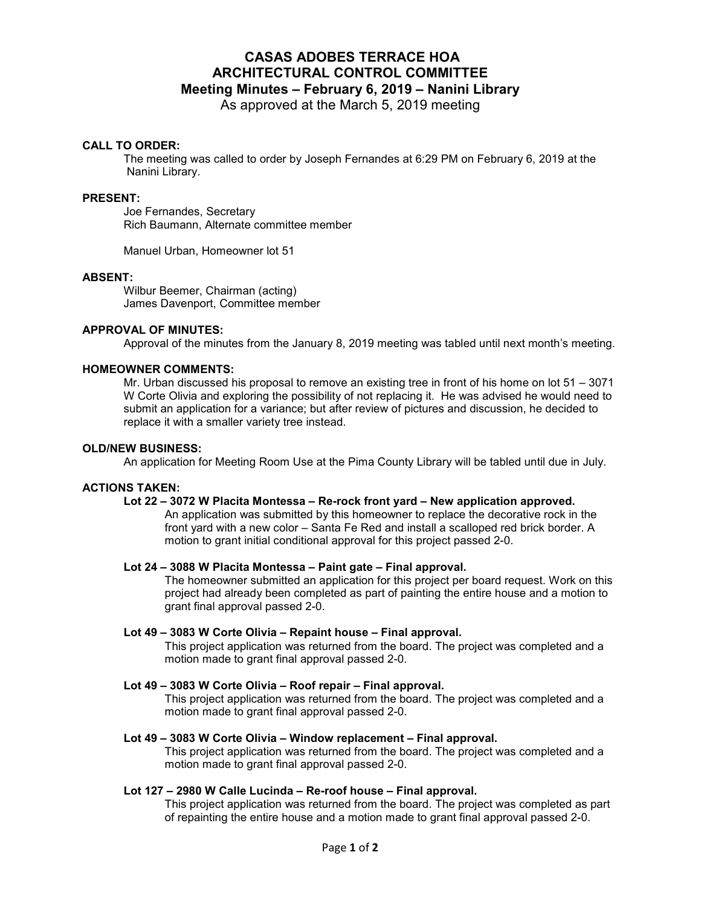# **CASAS ADOBES TERRACE HOA ARCHITECTURAL CONTROL COMMITTEE Meeting Minutes – February 6, 2019 – Nanini Library**

As approved at the March 5, 2019 meeting

## **CALL TO ORDER:**

The meeting was called to order by Joseph Fernandes at 6:29 PM on February 6, 2019 at the Nanini Library.

#### **PRESENT:**

 Joe Fernandes, Secretary Rich Baumann, Alternate committee member

Manuel Urban, Homeowner lot 51

## **ABSENT:**

Wilbur Beemer, Chairman (acting) James Davenport, Committee member

## **APPROVAL OF MINUTES:**

Approval of the minutes from the January 8, 2019 meeting was tabled until next month's meeting.

#### **HOMEOWNER COMMENTS:**

Mr. Urban discussed his proposal to remove an existing tree in front of his home on lot 51 – 3071 W Corte Olivia and exploring the possibility of not replacing it. He was advised he would need to submit an application for a variance; but after review of pictures and discussion, he decided to replace it with a smaller variety tree instead.

#### **OLD/NEW BUSINESS:**

An application for Meeting Room Use at the Pima County Library will be tabled until due in July.

#### **ACTIONS TAKEN:**

## **Lot 22 – 3072 W Placita Montessa – Re-rock front yard – New application approved.**

An application was submitted by this homeowner to replace the decorative rock in the front yard with a new color – Santa Fe Red and install a scalloped red brick border. A motion to grant initial conditional approval for this project passed 2-0.

#### **Lot 24 – 3088 W Placita Montessa – Paint gate – Final approval.**

The homeowner submitted an application for this project per board request. Work on this project had already been completed as part of painting the entire house and a motion to grant final approval passed 2-0.

## **Lot 49 – 3083 W Corte Olivia – Repaint house – Final approval.**

This project application was returned from the board. The project was completed and a motion made to grant final approval passed 2-0.

#### **Lot 49 – 3083 W Corte Olivia – Roof repair – Final approval.**

This project application was returned from the board. The project was completed and a motion made to grant final approval passed 2-0.

#### **Lot 49 – 3083 W Corte Olivia – Window replacement – Final approval.**

This project application was returned from the board. The project was completed and a motion made to grant final approval passed 2-0.

## **Lot 127 – 2980 W Calle Lucinda – Re-roof house – Final approval.**

This project application was returned from the board. The project was completed as part of repainting the entire house and a motion made to grant final approval passed 2-0.